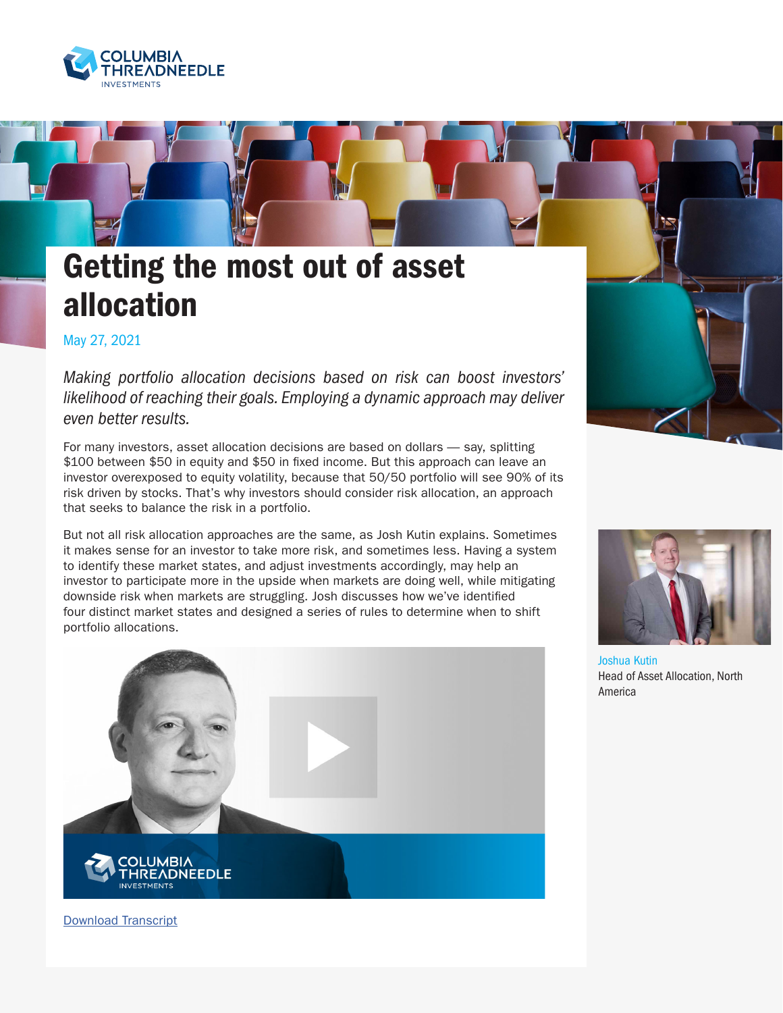

## Getting the most out of asset allocation

May 27, 2021

*Making portfolio allocation decisions based on risk can boost investors' likelihood of reaching their goals. Employing a dynamic approach may deliver even better results.*

For many investors, asset allocation decisions are based on dollars — say, splitting \$100 between \$50 in equity and \$50 in fixed income. But this approach can leave an investor overexposed to equity volatility, because that 50/50 portfolio will see 90% of its risk driven by stocks. That's why investors should consider risk allocation, an approach that seeks to balance the risk in a portfolio.

But not all risk allocation approaches are the same, as Josh Kutin explains. Sometimes it makes sense for an investor to take more risk, and sometimes less. Having a system to identify these market states, and adjust investments accordingly, may help an investor to participate more in the upside when markets are doing well, while mitigating downside risk when markets are struggling. Josh discusses how we've identified four distinct market states and designed a series of rules to determine when to shift portfolio allocations.







Joshua Kutin Head of Asset Allocation, North America

[Download Transcript](https://www.columbiathreadneedleus.com/binaries/content/assets/cti-blog/kutin_riskallocation_012021_transcript.pdf)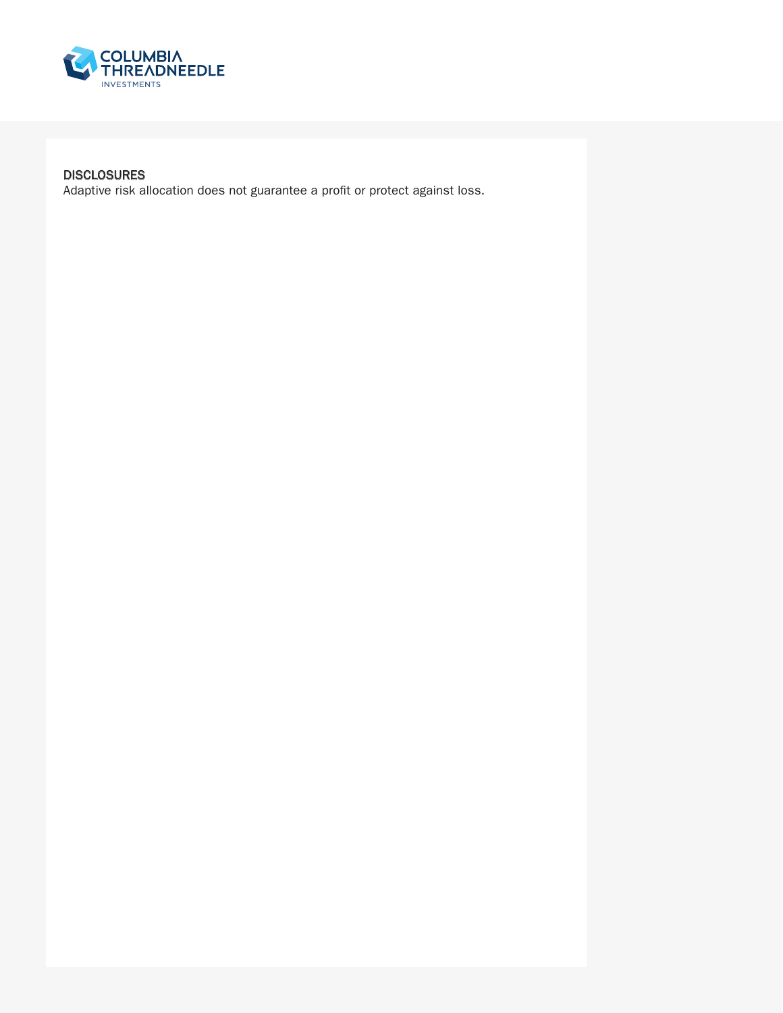

## DISCLOSURES

Adaptive risk allocation does not guarantee a profit or protect against loss.